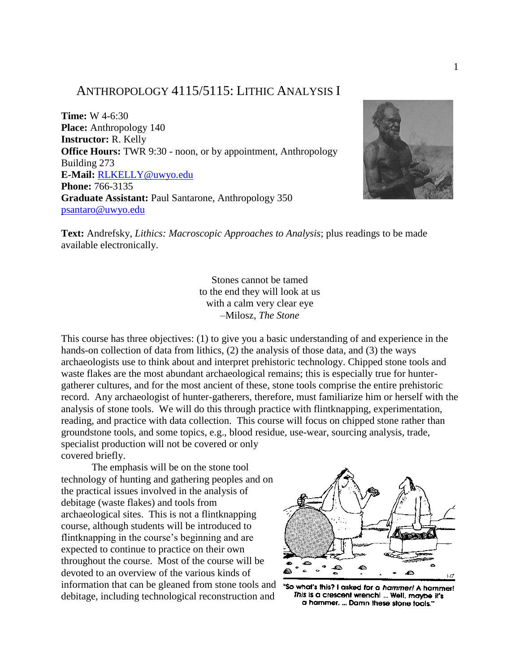# ANTHROPOLOGY 4115/5115: LITHIC ANALYSIS I

**Time:** W 4-6:30 **Place:** Anthropology 140 **Instructor:** R. Kelly **Office Hours:** TWR 9:30 - noon, or by appointment, Anthropology Building 273 **E-Mail:** RLKELLY@uwyo.edu **Phone:** 766-3135 **Graduate Assistant:** Paul Santarone, Anthropology 350 [psantaro@uwyo.edu](mailto:psantaro@uwyo.edu)



**Text:** Andrefsky, *Lithics: Macroscopic Approaches to Analysis*; plus readings to be made available electronically.

> Stones cannot be tamed to the end they will look at us with a calm very clear eye –Milosz, *The Stone*

This course has three objectives: (1) to give you a basic understanding of and experience in the hands-on collection of data from lithics, (2) the analysis of those data, and (3) the ways archaeologists use to think about and interpret prehistoric technology. Chipped stone tools and waste flakes are the most abundant archaeological remains; this is especially true for huntergatherer cultures, and for the most ancient of these, stone tools comprise the entire prehistoric record. Any archaeologist of hunter-gatherers, therefore, must familiarize him or herself with the analysis of stone tools. We will do this through practice with flintknapping, experimentation, reading, and practice with data collection. This course will focus on chipped stone rather than groundstone tools, and some topics, e.g., blood residue, use-wear, sourcing analysis, trade, specialist production will not be covered or only covered briefly.

The emphasis will be on the stone tool technology of hunting and gathering peoples and on the practical issues involved in the analysis of debitage (waste flakes) and tools from archaeological sites. This is not a flintknapping course, although students will be introduced to flintknapping in the course's beginning and are expected to continue to practice on their own throughout the course. Most of the course will be devoted to an overview of the various kinds of information that can be gleaned from stone tools and "so what's this? I asked for a hammer! A hammer! debitage, including technological reconstruction and



This is a crescent wrench! ... Well, maybe it's a hammer. ... Damn these stone tools."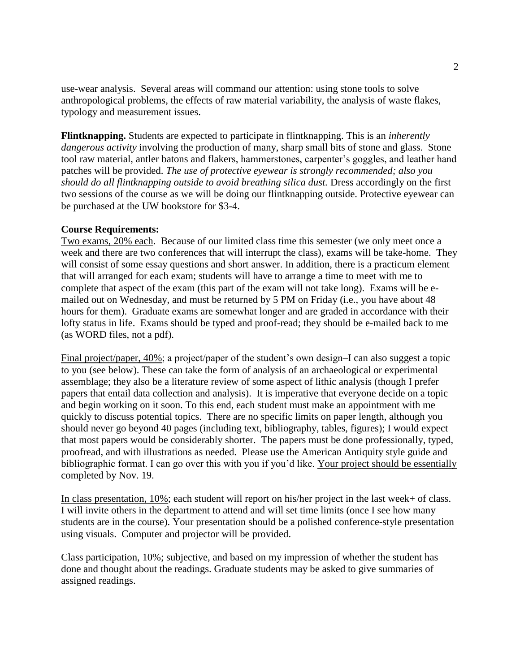use-wear analysis. Several areas will command our attention: using stone tools to solve anthropological problems, the effects of raw material variability, the analysis of waste flakes, typology and measurement issues.

**Flintknapping.** Students are expected to participate in flintknapping. This is an *inherently dangerous activity* involving the production of many, sharp small bits of stone and glass. Stone tool raw material, antler batons and flakers, hammerstones, carpenter's goggles, and leather hand patches will be provided. *The use of protective eyewear is strongly recommended; also you should do all flintknapping outside to avoid breathing silica dust.* Dress accordingly on the first two sessions of the course as we will be doing our flintknapping outside. Protective eyewear can be purchased at the UW bookstore for \$3-4.

### **Course Requirements:**

Two exams, 20% each. Because of our limited class time this semester (we only meet once a week and there are two conferences that will interrupt the class), exams will be take-home. They will consist of some essay questions and short answer. In addition, there is a practicum element that will arranged for each exam; students will have to arrange a time to meet with me to complete that aspect of the exam (this part of the exam will not take long). Exams will be emailed out on Wednesday, and must be returned by 5 PM on Friday (i.e., you have about 48 hours for them). Graduate exams are somewhat longer and are graded in accordance with their lofty status in life. Exams should be typed and proof-read; they should be e-mailed back to me (as WORD files, not a pdf).

Final project/paper, 40%; a project/paper of the student's own design–I can also suggest a topic to you (see below). These can take the form of analysis of an archaeological or experimental assemblage; they also be a literature review of some aspect of lithic analysis (though I prefer papers that entail data collection and analysis). It is imperative that everyone decide on a topic and begin working on it soon. To this end, each student must make an appointment with me quickly to discuss potential topics. There are no specific limits on paper length, although you should never go beyond 40 pages (including text, bibliography, tables, figures); I would expect that most papers would be considerably shorter. The papers must be done professionally, typed, proofread, and with illustrations as needed. Please use the American Antiquity style guide and bibliographic format. I can go over this with you if you'd like. Your project should be essentially completed by Nov. 19.

In class presentation, 10%; each student will report on his/her project in the last week+ of class. I will invite others in the department to attend and will set time limits (once I see how many students are in the course). Your presentation should be a polished conference-style presentation using visuals. Computer and projector will be provided.

Class participation, 10%; subjective, and based on my impression of whether the student has done and thought about the readings. Graduate students may be asked to give summaries of assigned readings.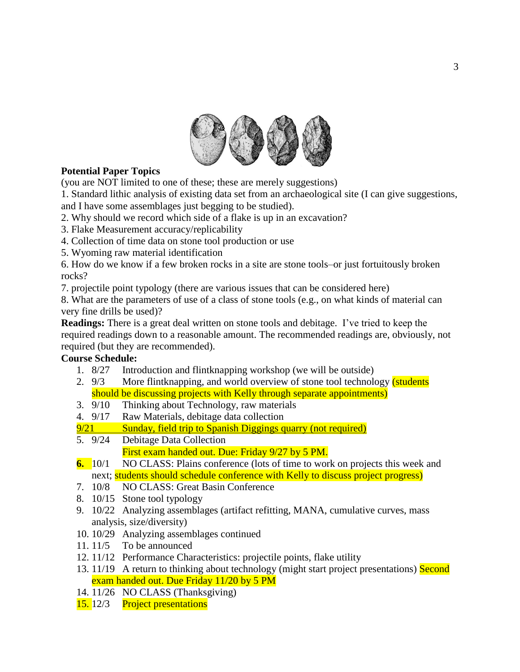

# **Potential Paper Topics**

(you are NOT limited to one of these; these are merely suggestions)

1. Standard lithic analysis of existing data set from an archaeological site (I can give suggestions,

and I have some assemblages just begging to be studied).

2. Why should we record which side of a flake is up in an excavation?

- 3. Flake Measurement accuracy/replicability
- 4. Collection of time data on stone tool production or use
- 5. Wyoming raw material identification

6. How do we know if a few broken rocks in a site are stone tools–or just fortuitously broken rocks?

7. projectile point typology (there are various issues that can be considered here)

8. What are the parameters of use of a class of stone tools (e.g., on what kinds of material can very fine drills be used)?

**Readings:** There is a great deal written on stone tools and debitage. I've tried to keep the required readings down to a reasonable amount. The recommended readings are, obviously, not required (but they are recommended).

## **Course Schedule:**

- 1. 8/27 Introduction and flintknapping workshop (we will be outside)
- 2. 9/3 More flintknapping, and world overview of stone tool technology *(students*) should be discussing projects with Kelly through separate appointments)
- 3. 9/10 Thinking about Technology, raw materials 4. 9/17 Raw Materials, debitage data collection
- Raw Materials, debitage data collection
- 9/21 Sunday, field trip to Spanish Diggings quarry (not required)
- 5. 9/24 Debitage Data Collection First exam handed out. Due: Friday 9/27 by 5 PM.
- **6.** 10/1 NO CLASS: Plains conference (lots of time to work on projects this week and next; students should schedule conference with Kelly to discuss project progress)
- 7. 10/8 NO CLASS: Great Basin Conference
- 8. 10/15 Stone tool typology
- 9. 10/22 Analyzing assemblages (artifact refitting, MANA, cumulative curves, mass analysis, size/diversity)
- 10. 10/29 Analyzing assemblages continued
- 11. 11/5 To be announced
- 12. 11/12 Performance Characteristics: projectile points, flake utility
- 13. 11/19 A return to thinking about technology (might start project presentations) Second exam handed out. Due Friday 11/20 by 5 PM
- 14. 11/26 NO CLASS (Thanksgiving)
- 15. 12/3 Project presentations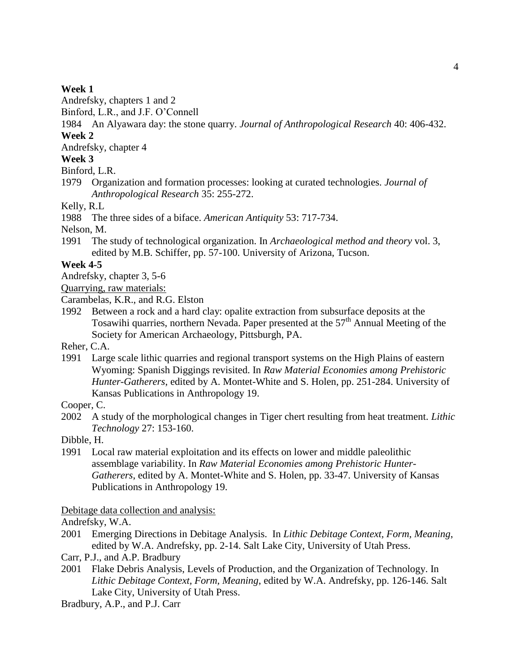### **Week 1**

Andrefsky, chapters 1 and 2

Binford, L.R., and J.F. O'Connell

1984 An Alyawara day: the stone quarry. *Journal of Anthropological Research* 40: 406-432. **Week 2**

Andrefsky, chapter 4

## **Week 3**

Binford, L.R.

1979 Organization and formation processes: looking at curated technologies. *Journal of Anthropological Research* 35: 255-272.

Kelly, R.L

1988 The three sides of a biface. *American Antiquity* 53: 717-734.

Nelson, M.

1991 The study of technological organization. In *Archaeological method and theory* vol. 3, edited by M.B. Schiffer, pp. 57-100. University of Arizona, Tucson.

## **Week 4-5**

Andrefsky, chapter 3, 5-6

Quarrying, raw materials:

Carambelas, K.R., and R.G. Elston

1992 Between a rock and a hard clay: opalite extraction from subsurface deposits at the Tosawihi quarries, northern Nevada. Paper presented at the 57<sup>th</sup> Annual Meeting of the Society for American Archaeology, Pittsburgh, PA.

Reher, C.A.

1991 Large scale lithic quarries and regional transport systems on the High Plains of eastern Wyoming: Spanish Diggings revisited. In *Raw Material Economies among Prehistoric Hunter-Gatherers*, edited by A. Montet-White and S. Holen, pp. 251-284. University of Kansas Publications in Anthropology 19.

Cooper, C.

2002 A study of the morphological changes in Tiger chert resulting from heat treatment. *Lithic Technology* 27: 153-160.

Dibble, H.

1991 Local raw material exploitation and its effects on lower and middle paleolithic assemblage variability. In *Raw Material Economies among Prehistoric Hunter-Gatherers*, edited by A. Montet-White and S. Holen, pp. 33-47. University of Kansas Publications in Anthropology 19.

### Debitage data collection and analysis:

Andrefsky, W.A.

- 2001 Emerging Directions in Debitage Analysis. In *Lithic Debitage Context, Form, Meaning*, edited by W.A. Andrefsky, pp. 2-14. Salt Lake City, University of Utah Press.
- Carr, P.J., and A.P. Bradbury
- 2001 Flake Debris Analysis, Levels of Production, and the Organization of Technology. In *Lithic Debitage Context, Form, Meaning*, edited by W.A. Andrefsky, pp. 126-146. Salt Lake City, University of Utah Press.

Bradbury, A.P., and P.J. Carr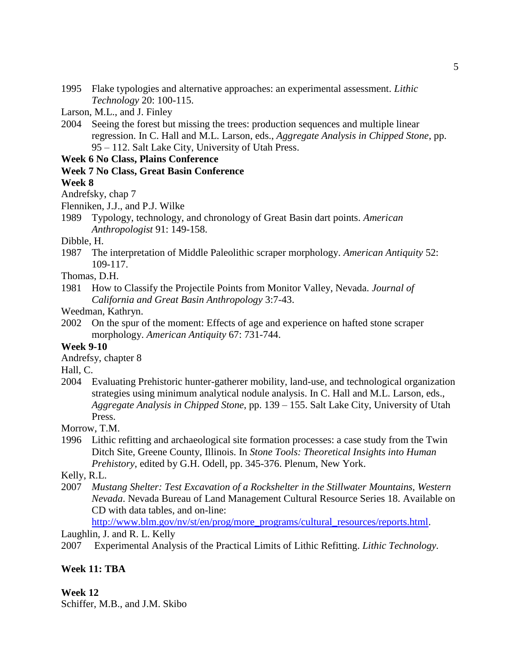- 1995 Flake typologies and alternative approaches: an experimental assessment. *Lithic Technology* 20: 100-115.
- Larson, M.L., and J. Finley
- 2004 Seeing the forest but missing the trees: production sequences and multiple linear regression. In C. Hall and M.L. Larson, eds., *Aggregate Analysis in Chipped Stone*, pp. 95 – 112. Salt Lake City, University of Utah Press.

## **Week 6 No Class, Plains Conference**

### **Week 7 No Class, Great Basin Conference**

## **Week 8**

- Andrefsky, chap 7
- Flenniken, J.J., and P.J. Wilke
- 1989 Typology, technology, and chronology of Great Basin dart points. *American Anthropologist* 91: 149-158.

### Dibble, H.

- 1987 The interpretation of Middle Paleolithic scraper morphology. *American Antiquity* 52: 109-117.
- Thomas, D.H.
- 1981 How to Classify the Projectile Points from Monitor Valley, Nevada. *Journal of California and Great Basin Anthropology* 3:7-43.

Weedman, Kathryn.

2002 On the spur of the moment: Effects of age and experience on hafted stone scraper morphology. *American Antiquity* 67: 731-744.

## **Week 9-10**

Andrefsy, chapter 8

Hall, C.

2004 Evaluating Prehistoric hunter-gatherer mobility, land-use, and technological organization strategies using minimum analytical nodule analysis. In C. Hall and M.L. Larson, eds., *Aggregate Analysis in Chipped Stone*, pp. 139 – 155. Salt Lake City, University of Utah Press.

Morrow, T.M.

1996 Lithic refitting and archaeological site formation processes: a case study from the Twin Ditch Site, Greene County, Illinois. In *Stone Tools: Theoretical Insights into Human Prehistory*, edited by G.H. Odell, pp. 345-376. Plenum, New York.

Kelly, R.L.

2007 *Mustang Shelter: Test Excavation of a Rockshelter in the Stillwater Mountains, Western Nevada*. Nevada Bureau of Land Management Cultural Resource Series 18. Available on CD with data tables, and on-line:

[http://www.blm.gov/nv/st/en/prog/more\\_programs/cultural\\_resources/reports.html.](http://www.blm.gov/nv/st/en/prog/more_programs/cultural_resources/reports.html)

Laughlin, J. and R. L. Kelly

2007 Experimental Analysis of the Practical Limits of Lithic Refitting. *Lithic Technology.* 

## **Week 11: TBA**

**Week 12**

Schiffer, M.B., and J.M. Skibo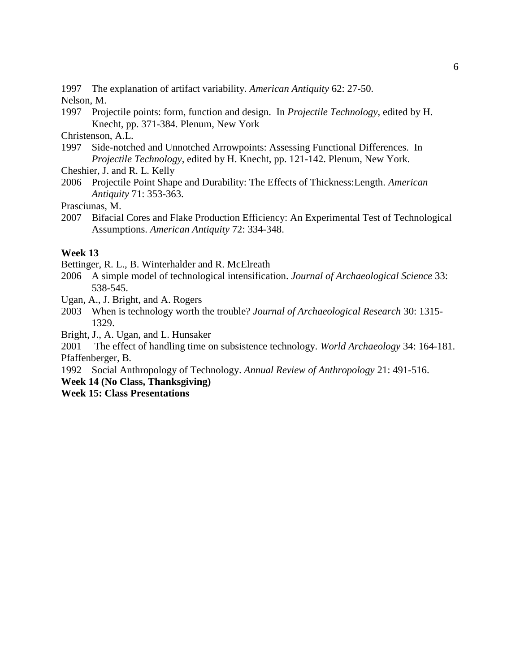1997 The explanation of artifact variability. *American Antiquity* 62: 27-50.

Nelson, M.

1997 Projectile points: form, function and design. In *Projectile Technology*, edited by H. Knecht, pp. 371-384. Plenum, New York

Christenson, A.L.

1997 Side-notched and Unnotched Arrowpoints: Assessing Functional Differences. In *Projectile Technology*, edited by H. Knecht, pp. 121-142. Plenum, New York.

Cheshier, J. and R. L. Kelly

2006 Projectile Point Shape and Durability: The Effects of Thickness:Length. *American Antiquity* 71: 353-363.

Prasciunas, M.

2007 Bifacial Cores and Flake Production Efficiency: An Experimental Test of Technological Assumptions. *American Antiquity* 72: 334-348.

# **Week 13**

Bettinger, R. L., B. Winterhalder and R. McElreath

- 2006 A simple model of technological intensification. *Journal of Archaeological Science* 33: 538-545.
- Ugan, A., J. Bright, and A. Rogers
- 2003 When is technology worth the trouble? *Journal of Archaeological Research* 30: 1315- 1329.

Bright, J., A. Ugan, and L. Hunsaker

2001 The effect of handling time on subsistence technology. *World Archaeology* 34: 164-181. Pfaffenberger, B.

1992 Social Anthropology of Technology. *Annual Review of Anthropology* 21: 491-516.

**Week 14 (No Class, Thanksgiving)**

**Week 15: Class Presentations**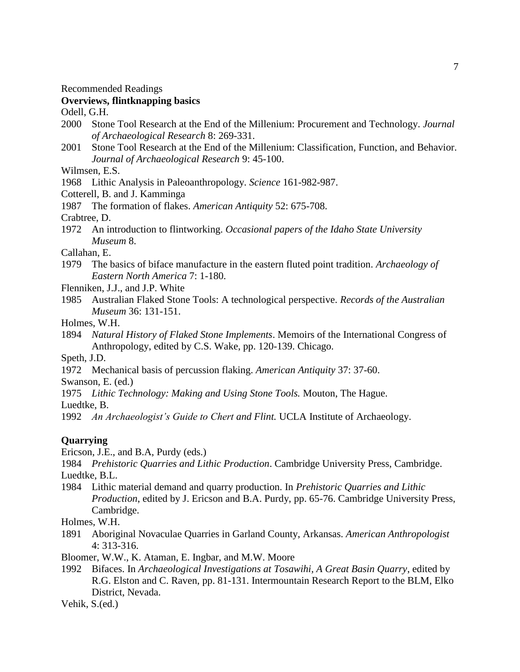Recommended Readings

### **Overviews, flintknapping basics**

Odell, G.H.

- 2000 Stone Tool Research at the End of the Millenium: Procurement and Technology. *Journal of Archaeological Research* 8: 269-331.
- 2001 Stone Tool Research at the End of the Millenium: Classification, Function, and Behavior. *Journal of Archaeological Research* 9: 45-100.

Wilmsen, E.S.

1968 Lithic Analysis in Paleoanthropology. *Science* 161-982-987.

Cotterell, B. and J. Kamminga

1987 The formation of flakes. *American Antiquity* 52: 675-708.

Crabtree, D.

1972 An introduction to flintworking. *Occasional papers of the Idaho State University Museum* 8.

Callahan, E.

1979 The basics of biface manufacture in the eastern fluted point tradition. *Archaeology of Eastern North America* 7: 1-180.

Flenniken, J.J., and J.P. White

1985 Australian Flaked Stone Tools: A technological perspective. *Records of the Australian Museum* 36: 131-151.

Holmes, W.H.

1894 *Natural History of Flaked Stone Implements*. Memoirs of the International Congress of Anthropology, edited by C.S. Wake, pp. 120-139. Chicago.

Speth, J.D.

1972 Mechanical basis of percussion flaking. *American Antiquity* 37: 37-60.

Swanson, E. (ed.)

1975 *Lithic Technology: Making and Using Stone Tools.* Mouton, The Hague.

Luedtke, B.

1992 *An Archaeologist's Guide to Chert and Flint.* UCLA Institute of Archaeology.

## **Quarrying**

Ericson, J.E., and B.A, Purdy (eds.)

1984 *Prehistoric Quarries and Lithic Production*. Cambridge University Press, Cambridge. Luedtke, B.L.

1984 Lithic material demand and quarry production. In *Prehistoric Quarries and Lithic Production*, edited by J. Ericson and B.A. Purdy, pp. 65-76. Cambridge University Press, Cambridge.

Holmes, W.H.

1891 Aboriginal Novaculae Quarries in Garland County, Arkansas. *American Anthropologist* 4: 313-316.

Bloomer, W.W., K. Ataman, E. Ingbar, and M.W. Moore

1992 Bifaces. In *Archaeological Investigations at Tosawihi, A Great Basin Quarry*, edited by R.G. Elston and C. Raven, pp. 81-131. Intermountain Research Report to the BLM, Elko District, Nevada.

Vehik, S.(ed.)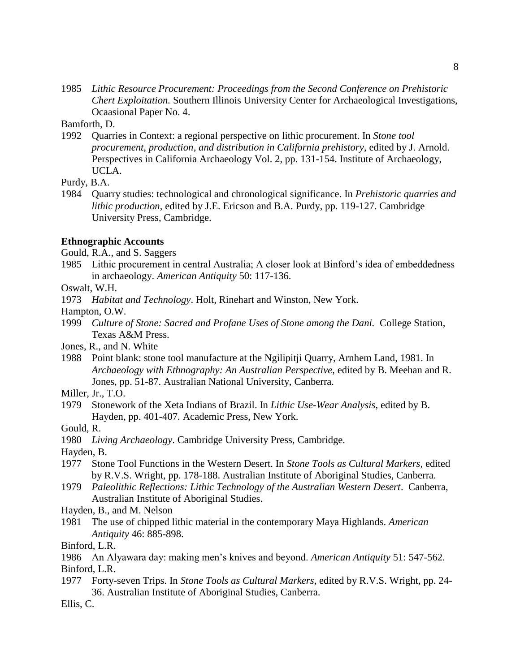1985 *Lithic Resource Procurement: Proceedings from the Second Conference on Prehistoric Chert Exploitation.* Southern Illinois University Center for Archaeological Investigations, Ocaasional Paper No. 4.

Bamforth, D.

1992 Quarries in Context: a regional perspective on lithic procurement. In *Stone tool procurement, production, and distribution in California prehistory*, edited by J. Arnold. Perspectives in California Archaeology Vol. 2, pp. 131-154. Institute of Archaeology, UCLA.

Purdy, B.A.

1984 Quarry studies: technological and chronological significance. In *Prehistoric quarries and lithic production*, edited by J.E. Ericson and B.A. Purdy, pp. 119-127. Cambridge University Press, Cambridge.

#### **Ethnographic Accounts**

Gould, R.A., and S. Saggers

1985 Lithic procurement in central Australia; A closer look at Binford's idea of embeddedness in archaeology. *American Antiquity* 50: 117-136.

Oswalt, W.H.

1973 *Habitat and Technology*. Holt, Rinehart and Winston, New York.

Hampton, O.W.

- 1999 *Culture of Stone: Sacred and Profane Uses of Stone among the Dani.* College Station, Texas A&M Press.
- Jones, R., and N. White
- 1988 Point blank: stone tool manufacture at the Ngilipitji Quarry, Arnhem Land, 1981. In *Archaeology with Ethnography: An Australian Perspective*, edited by B. Meehan and R. Jones, pp. 51-87. Australian National University, Canberra.

Miller, Jr., T.O.

1979 Stonework of the Xeta Indians of Brazil. In *Lithic Use-Wear Analysis*, edited by B. Hayden, pp. 401-407. Academic Press, New York.

Gould, R.

1980 *Living Archaeology*. Cambridge University Press, Cambridge.

Hayden, B.

- 1977 Stone Tool Functions in the Western Desert. In *Stone Tools as Cultural Markers*, edited by R.V.S. Wright, pp. 178-188. Australian Institute of Aboriginal Studies, Canberra.
- 1979 *Paleolithic Reflections: Lithic Technology of the Australian Western Desert*. Canberra, Australian Institute of Aboriginal Studies.
- Hayden, B., and M. Nelson
- 1981 The use of chipped lithic material in the contemporary Maya Highlands. *American Antiquity* 46: 885-898.

Binford, L.R.

- 1986 An Alyawara day: making men's knives and beyond. *American Antiquity* 51: 547-562. Binford, L.R.
- 1977 Forty-seven Trips. In *Stone Tools as Cultural Markers*, edited by R.V.S. Wright, pp. 24- 36. Australian Institute of Aboriginal Studies, Canberra.

Ellis, C.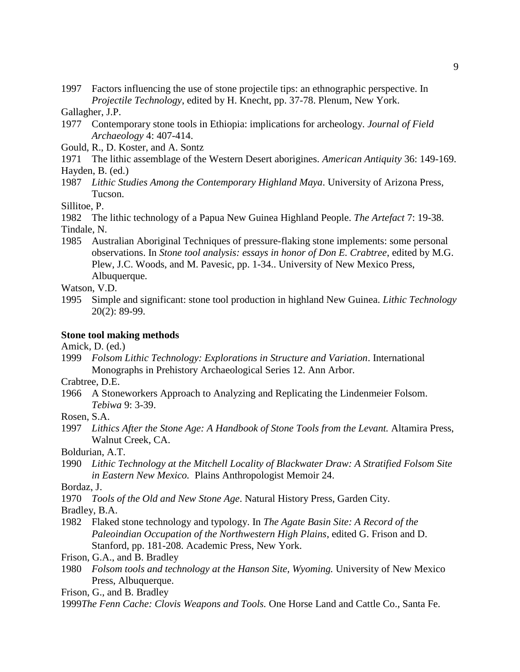1997 Factors influencing the use of stone projectile tips: an ethnographic perspective. In *Projectile Technology*, edited by H. Knecht, pp. 37-78. Plenum, New York.

Gallagher, J.P.

- 1977 Contemporary stone tools in Ethiopia: implications for archeology. *Journal of Field Archaeology* 4: 407-414.
- Gould, R., D. Koster, and A. Sontz
- 1971 The lithic assemblage of the Western Desert aborigines. *American Antiquity* 36: 149-169. Hayden, B. (ed.)
- 1987 *Lithic Studies Among the Contemporary Highland Maya*. University of Arizona Press, Tucson.

Sillitoe, P.

1982 The lithic technology of a Papua New Guinea Highland People. *The Artefact* 7: 19-38. Tindale, N.

1985 Australian Aboriginal Techniques of pressure-flaking stone implements: some personal observations. In *Stone tool analysis: essays in honor of Don E. Crabtree*, edited by M.G. Plew, J.C. Woods, and M. Pavesic, pp. 1-34.. University of New Mexico Press, Albuquerque.

Watson, V.D.

1995 Simple and significant: stone tool production in highland New Guinea. *Lithic Technology* 20(2): 89-99.

#### **Stone tool making methods**

Amick, D. (ed.)

1999 *Folsom Lithic Technology: Explorations in Structure and Variation*. International Monographs in Prehistory Archaeological Series 12. Ann Arbor.

Crabtree, D.E.

- 1966 A Stoneworkers Approach to Analyzing and Replicating the Lindenmeier Folsom. *Tebiwa* 9: 3-39.
- Rosen, S.A.
- 1997 *Lithics After the Stone Age: A Handbook of Stone Tools from the Levant.* Altamira Press, Walnut Creek, CA.

Boldurian, A.T.

1990 *Lithic Technology at the Mitchell Locality of Blackwater Draw: A Stratified Folsom Site in Eastern New Mexico.* Plains Anthropologist Memoir 24.

Bordaz, J.

1970 *Tools of the Old and New Stone Age*. Natural History Press, Garden City.

Bradley, B.A.

1982 Flaked stone technology and typology. In *The Agate Basin Site: A Record of the Paleoindian Occupation of the Northwestern High Plains*, edited G. Frison and D. Stanford, pp. 181-208. Academic Press, New York.

Frison, G.A., and B. Bradley

1980 *Folsom tools and technology at the Hanson Site, Wyoming.* University of New Mexico Press, Albuquerque.

Frison, G., and B. Bradley

1999*The Fenn Cache: Clovis Weapons and Tools.* One Horse Land and Cattle Co., Santa Fe.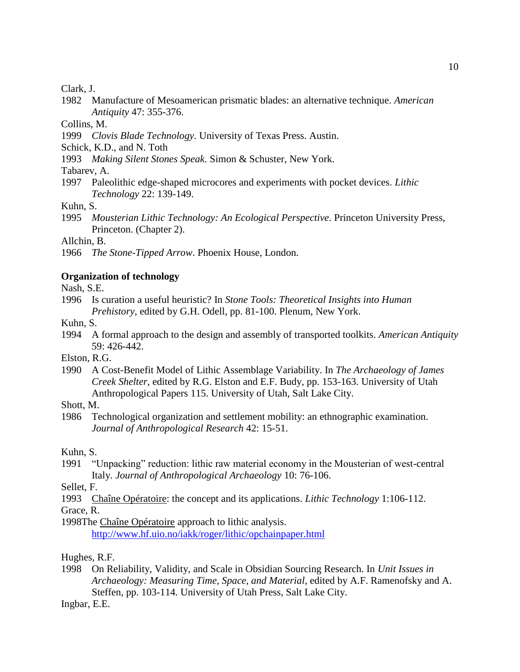### Clark, J.

1982 Manufacture of Mesoamerican prismatic blades: an alternative technique. *American Antiquity* 47: 355-376.

Collins, M.

- 1999 *Clovis Blade Technology.* University of Texas Press. Austin.
- Schick, K.D., and N. Toth
- 1993 *Making Silent Stones Speak*. Simon & Schuster, New York.

Tabarev, A.

1997 Paleolithic edge-shaped microcores and experiments with pocket devices. *Lithic Technology* 22: 139-149.

Kuhn, S.

1995 *Mousterian Lithic Technology: An Ecological Perspective*. Princeton University Press, Princeton. (Chapter 2).

Allchin, B.

1966 *The Stone-Tipped Arrow*. Phoenix House, London.

## **Organization of technology**

Nash, S.E.

1996 Is curation a useful heuristic? In *Stone Tools: Theoretical Insights into Human Prehistory*, edited by G.H. Odell, pp. 81-100. Plenum, New York.

Kuhn, S.

1994 A formal approach to the design and assembly of transported toolkits. *American Antiquity* 59: 426-442.

Elston, R.G.

1990 A Cost-Benefit Model of Lithic Assemblage Variability. In *The Archaeology of James Creek Shelter*, edited by R.G. Elston and E.F. Budy, pp. 153-163. University of Utah Anthropological Papers 115. University of Utah, Salt Lake City.

Shott, M.

1986 Technological organization and settlement mobility: an ethnographic examination. *Journal of Anthropological Research* 42: 15-51.

Kuhn, S.

1991 "Unpacking" reduction: lithic raw material economy in the Mousterian of west-central Italy. *Journal of Anthropological Archaeology* 10: 76-106.

Sellet, F.

1993 Chaîne Opératoire: the concept and its applications. *Lithic Technology* 1:106-112.

Grace, R.

1998The Chaîne Opératoire approach to lithic analysis. <http://www.hf.uio.no/iakk/roger/lithic/opchainpaper.html>

Hughes, R.F.

1998 On Reliability, Validity, and Scale in Obsidian Sourcing Research. In *Unit Issues in Archaeology: Measuring Time, Space, and Material*, edited by A.F. Ramenofsky and A. Steffen, pp. 103-114. University of Utah Press, Salt Lake City.

Ingbar, E.E.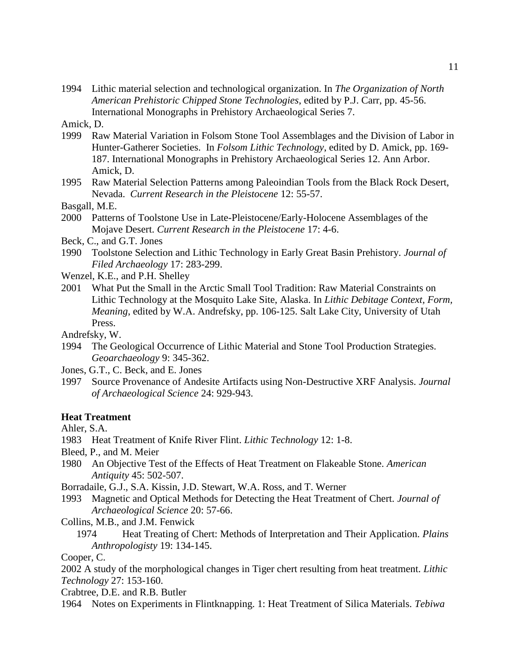1994 Lithic material selection and technological organization. In *The Organization of North American Prehistoric Chipped Stone Technologies*, edited by P.J. Carr, pp. 45-56. International Monographs in Prehistory Archaeological Series 7.

Amick, D.

- 1999 Raw Material Variation in Folsom Stone Tool Assemblages and the Division of Labor in Hunter-Gatherer Societies. In *Folsom Lithic Technology*, edited by D. Amick, pp. 169- 187. International Monographs in Prehistory Archaeological Series 12. Ann Arbor. Amick, D.
- 1995 Raw Material Selection Patterns among Paleoindian Tools from the Black Rock Desert, Nevada. *Current Research in the Pleistocene* 12: 55-57.

Basgall, M.E.

- 2000 Patterns of Toolstone Use in Late-Pleistocene/Early-Holocene Assemblages of the Mojave Desert. *Current Research in the Pleistocene* 17: 4-6.
- Beck, C., and G.T. Jones
- 1990 Toolstone Selection and Lithic Technology in Early Great Basin Prehistory. *Journal of Filed Archaeology* 17: 283-299.
- Wenzel, K.E., and P.H. Shelley
- 2001 What Put the Small in the Arctic Small Tool Tradition: Raw Material Constraints on Lithic Technology at the Mosquito Lake Site, Alaska. In *Lithic Debitage Context, Form, Meaning*, edited by W.A. Andrefsky, pp. 106-125. Salt Lake City, University of Utah Press.
- Andrefsky, W.
- 1994 The Geological Occurrence of Lithic Material and Stone Tool Production Strategies. *Geoarchaeology* 9: 345-362.
- Jones, G.T., C. Beck, and E. Jones
- 1997 Source Provenance of Andesite Artifacts using Non-Destructive XRF Analysis. *Journal of Archaeological Science* 24: 929-943.

## **Heat Treatment**

Ahler, S.A.

- 1983 Heat Treatment of Knife River Flint. *Lithic Technology* 12: 1-8.
- Bleed, P., and M. Meier
- 1980 An Objective Test of the Effects of Heat Treatment on Flakeable Stone. *American Antiquity* 45: 502-507.
- Borradaile, G.J., S.A. Kissin, J.D. Stewart, W.A. Ross, and T. Werner
- 1993 Magnetic and Optical Methods for Detecting the Heat Treatment of Chert. *Journal of Archaeological Science* 20: 57-66.
- Collins, M.B., and J.M. Fenwick
	- 1974 Heat Treating of Chert: Methods of Interpretation and Their Application. *Plains Anthropologisty* 19: 134-145.

Cooper, C.

2002 A study of the morphological changes in Tiger chert resulting from heat treatment. *Lithic Technology* 27: 153-160.

Crabtree, D.E. and R.B. Butler

1964 Notes on Experiments in Flintknapping. 1: Heat Treatment of Silica Materials. *Tebiwa*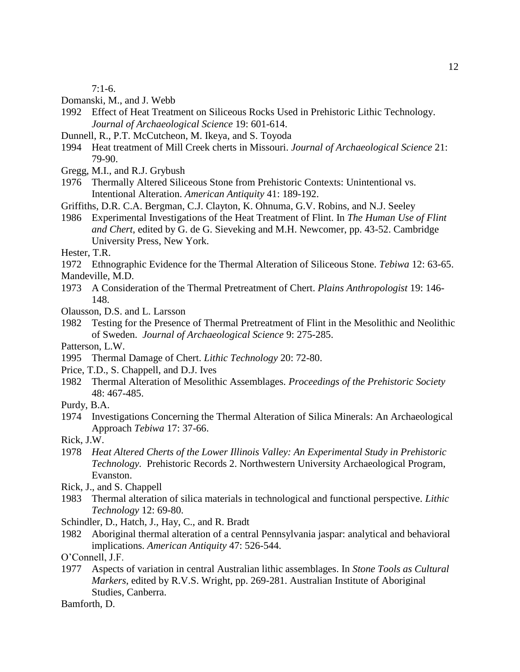7:1-6.

Domanski, M., and J. Webb

- 1992 Effect of Heat Treatment on Siliceous Rocks Used in Prehistoric Lithic Technology. *Journal of Archaeological Science* 19: 601-614.
- Dunnell, R., P.T. McCutcheon, M. Ikeya, and S. Toyoda
- 1994 Heat treatment of Mill Creek cherts in Missouri. *Journal of Archaeological Science* 21: 79-90.
- Gregg, M.I., and R.J. Grybush
- 1976 Thermally Altered Siliceous Stone from Prehistoric Contexts: Unintentional vs. Intentional Alteration. *American Antiquity* 41: 189-192.
- Griffiths, D.R. C.A. Bergman, C.J. Clayton, K. Ohnuma, G.V. Robins, and N.J. Seeley
- 1986 Experimental Investigations of the Heat Treatment of Flint. In *The Human Use of Flint and Chert*, edited by G. de G. Sieveking and M.H. Newcomer, pp. 43-52. Cambridge University Press, New York.
- Hester, T.R.
- 1972 Ethnographic Evidence for the Thermal Alteration of Siliceous Stone. *Tebiwa* 12: 63-65. Mandeville, M.D.
- 1973 A Consideration of the Thermal Pretreatment of Chert. *Plains Anthropologist* 19: 146- 148.
- Olausson, D.S. and L. Larsson
- 1982 Testing for the Presence of Thermal Pretreatment of Flint in the Mesolithic and Neolithic of Sweden. *Journal of Archaeological Science* 9: 275-285.
- Patterson, L.W.
- 1995 Thermal Damage of Chert. *Lithic Technology* 20: 72-80.
- Price, T.D., S. Chappell, and D.J. Ives
- 1982 Thermal Alteration of Mesolithic Assemblages. *Proceedings of the Prehistoric Society* 48: 467-485.
- Purdy, B.A.
- 1974 Investigations Concerning the Thermal Alteration of Silica Minerals: An Archaeological Approach *Tebiwa* 17: 37-66.
- Rick, J.W.
- 1978 *Heat Altered Cherts of the Lower Illinois Valley: An Experimental Study in Prehistoric Technology.* Prehistoric Records 2. Northwestern University Archaeological Program, Evanston.
- Rick, J., and S. Chappell
- 1983 Thermal alteration of silica materials in technological and functional perspective. *Lithic Technology* 12: 69-80.
- Schindler, D., Hatch, J., Hay, C., and R. Bradt
- 1982 Aboriginal thermal alteration of a central Pennsylvania jaspar: analytical and behavioral implications. *American Antiquity* 47: 526-544.
- O'Connell, J.F.
- 1977 Aspects of variation in central Australian lithic assemblages. In *Stone Tools as Cultural Markers*, edited by R.V.S. Wright, pp. 269-281. Australian Institute of Aboriginal Studies, Canberra.

Bamforth, D.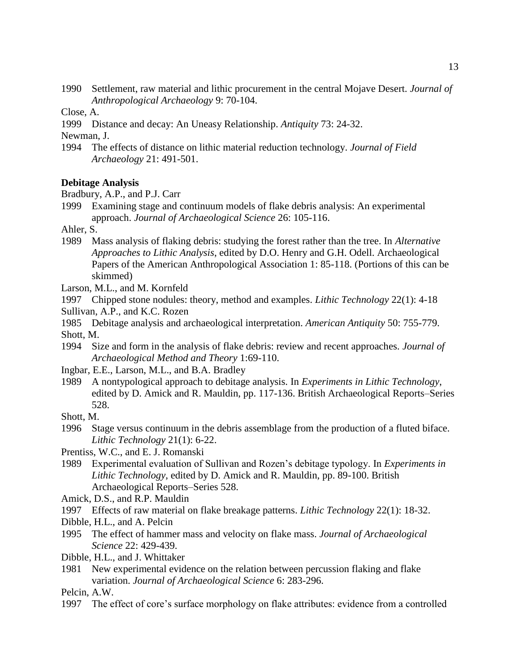1990 Settlement, raw material and lithic procurement in the central Mojave Desert. *Journal of Anthropological Archaeology* 9: 70-104.

Close, A.

1999 Distance and decay: An Uneasy Relationship. *Antiquity* 73: 24-32.

Newman, J.

1994 The effects of distance on lithic material reduction technology. *Journal of Field Archaeology* 21: 491-501.

#### **Debitage Analysis**

- Bradbury, A.P., and P.J. Carr
- 1999 Examining stage and continuum models of flake debris analysis: An experimental approach. *Journal of Archaeological Science* 26: 105-116.

Ahler, S.

- 1989 Mass analysis of flaking debris: studying the forest rather than the tree. In *Alternative Approaches to Lithic Analysis*, edited by D.O. Henry and G.H. Odell. Archaeological Papers of the American Anthropological Association 1: 85-118. (Portions of this can be skimmed)
- Larson, M.L., and M. Kornfeld
- 1997 Chipped stone nodules: theory, method and examples. *Lithic Technology* 22(1): 4-18 Sullivan, A.P., and K.C. Rozen
- 1985 Debitage analysis and archaeological interpretation. *American Antiquity* 50: 755-779. Shott, M.
- 1994 Size and form in the analysis of flake debris: review and recent approaches. *Journal of Archaeological Method and Theory* 1:69-110.
- Ingbar, E.E., Larson, M.L., and B.A. Bradley
- 1989 A nontypological approach to debitage analysis. In *Experiments in Lithic Technology*, edited by D. Amick and R. Mauldin, pp. 117-136. British Archaeological Reports–Series 528.

Shott, M.

1996 Stage versus continuum in the debris assemblage from the production of a fluted biface. *Lithic Technology* 21(1): 6-22.

Prentiss, W.C., and E. J. Romanski

- 1989 Experimental evaluation of Sullivan and Rozen's debitage typology. In *Experiments in Lithic Technology*, edited by D. Amick and R. Mauldin, pp. 89-100. British Archaeological Reports–Series 528.
- Amick, D.S., and R.P. Mauldin
- 1997 Effects of raw material on flake breakage patterns. *Lithic Technology* 22(1): 18-32.
- Dibble, H.L., and A. Pelcin
- 1995 The effect of hammer mass and velocity on flake mass. *Journal of Archaeological Science* 22: 429-439.
- Dibble, H.L., and J. Whittaker
- 1981 New experimental evidence on the relation between percussion flaking and flake variation. *Journal of Archaeological Science* 6: 283-296.

Pelcin, A.W.

1997 The effect of core's surface morphology on flake attributes: evidence from a controlled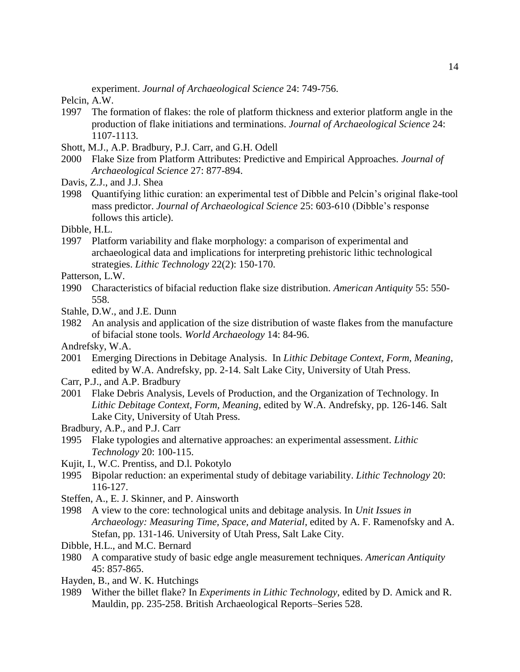experiment. *Journal of Archaeological Science* 24: 749-756.

- Pelcin, A.W.
- 1997 The formation of flakes: the role of platform thickness and exterior platform angle in the production of flake initiations and terminations. *Journal of Archaeological Science* 24: 1107-1113.
- Shott, M.J., A.P. Bradbury, P.J. Carr, and G.H. Odell
- 2000 Flake Size from Platform Attributes: Predictive and Empirical Approaches. *Journal of Archaeological Science* 27: 877-894.
- Davis, Z.J., and J.J. Shea
- 1998 Quantifying lithic curation: an experimental test of Dibble and Pelcin's original flake-tool mass predictor. *Journal of Archaeological Science* 25: 603-610 (Dibble's response follows this article).
- Dibble, H.L.
- 1997 Platform variability and flake morphology: a comparison of experimental and archaeological data and implications for interpreting prehistoric lithic technological strategies. *Lithic Technology* 22(2): 150-170.
- Patterson, L.W.
- 1990 Characteristics of bifacial reduction flake size distribution. *American Antiquity* 55: 550- 558.
- Stahle, D.W., and J.E. Dunn
- 1982 An analysis and application of the size distribution of waste flakes from the manufacture of bifacial stone tools. *World Archaeology* 14: 84-96.
- Andrefsky, W.A.
- 2001 Emerging Directions in Debitage Analysis. In *Lithic Debitage Context, Form, Meaning*, edited by W.A. Andrefsky, pp. 2-14. Salt Lake City, University of Utah Press.
- Carr, P.J., and A.P. Bradbury
- 2001 Flake Debris Analysis, Levels of Production, and the Organization of Technology. In *Lithic Debitage Context, Form, Meaning*, edited by W.A. Andrefsky, pp. 126-146. Salt Lake City, University of Utah Press.
- Bradbury, A.P., and P.J. Carr
- 1995 Flake typologies and alternative approaches: an experimental assessment. *Lithic Technology* 20: 100-115.
- Kujit, I., W.C. Prentiss, and D.l. Pokotylo
- 1995 Bipolar reduction: an experimental study of debitage variability. *Lithic Technology* 20: 116-127.
- Steffen, A., E. J. Skinner, and P. Ainsworth
- 1998 A view to the core: technological units and debitage analysis. In *Unit Issues in Archaeology: Measuring Time, Space, and Material*, edited by A. F. Ramenofsky and A. Stefan, pp. 131-146. University of Utah Press, Salt Lake City.
- Dibble, H.L., and M.C. Bernard
- 1980 A comparative study of basic edge angle measurement techniques. *American Antiquity* 45: 857-865.
- Hayden, B., and W. K. Hutchings
- 1989 Wither the billet flake? In *Experiments in Lithic Technology*, edited by D. Amick and R. Mauldin, pp. 235-258. British Archaeological Reports–Series 528.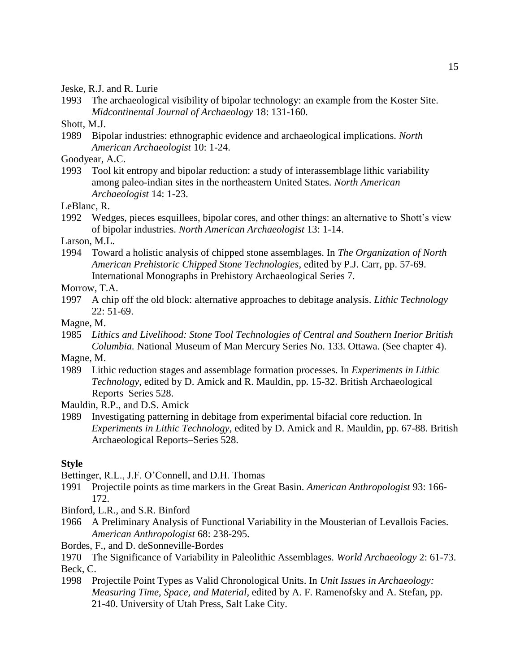Jeske, R.J. and R. Lurie

1993 The archaeological visibility of bipolar technology: an example from the Koster Site. *Midcontinental Journal of Archaeology* 18: 131-160.

Shott, M.J.

1989 Bipolar industries: ethnographic evidence and archaeological implications. *North American Archaeologist* 10: 1-24.

Goodyear, A.C.

1993 Tool kit entropy and bipolar reduction: a study of interassemblage lithic variability among paleo-indian sites in the northeastern United States. *North American Archaeologist* 14: 1-23.

LeBlanc, R.

1992 Wedges, pieces esquillees, bipolar cores, and other things: an alternative to Shott's view of bipolar industries. *North American Archaeologist* 13: 1-14.

Larson, M.L.

1994 Toward a holistic analysis of chipped stone assemblages. In *The Organization of North American Prehistoric Chipped Stone Technologies*, edited by P.J. Carr, pp. 57-69. International Monographs in Prehistory Archaeological Series 7.

Morrow, T.A.

1997 A chip off the old block: alternative approaches to debitage analysis. *Lithic Technology* 22: 51-69.

Magne, M.

1985 *Lithics and Livelihood: Stone Tool Technologies of Central and Southern Inerior British Columbia.* National Museum of Man Mercury Series No. 133. Ottawa. (See chapter 4).

Magne, M.

1989 Lithic reduction stages and assemblage formation processes. In *Experiments in Lithic Technology*, edited by D. Amick and R. Mauldin, pp. 15-32. British Archaeological Reports–Series 528.

Mauldin, R.P., and D.S. Amick

1989 Investigating patterning in debitage from experimental bifacial core reduction. In *Experiments in Lithic Technology*, edited by D. Amick and R. Mauldin, pp. 67-88. British Archaeological Reports–Series 528.

# **Style**

Bettinger, R.L., J.F. O'Connell, and D.H. Thomas

- 1991 Projectile points as time markers in the Great Basin. *American Anthropologist* 93: 166- 172.
- Binford, L.R., and S.R. Binford
- 1966 A Preliminary Analysis of Functional Variability in the Mousterian of Levallois Facies. *American Anthropologist* 68: 238-295.
- Bordes, F., and D. deSonneville-Bordes

1970 The Significance of Variability in Paleolithic Assemblages. *World Archaeology* 2: 61-73. Beck, C.

1998 Projectile Point Types as Valid Chronological Units. In *Unit Issues in Archaeology: Measuring Time, Space, and Material*, edited by A. F. Ramenofsky and A. Stefan, pp. 21-40. University of Utah Press, Salt Lake City.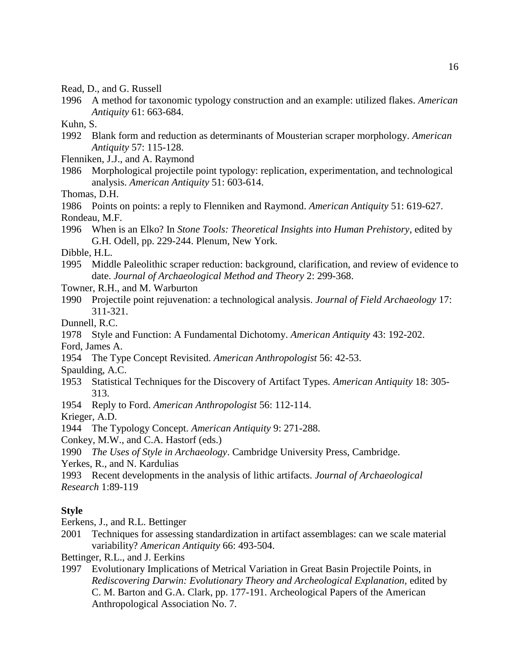Read, D., and G. Russell

1996 A method for taxonomic typology construction and an example: utilized flakes. *American Antiquity* 61: 663-684.

Kuhn, S.

1992 Blank form and reduction as determinants of Mousterian scraper morphology. *American Antiquity* 57: 115-128.

Flenniken, J.J., and A. Raymond

1986 Morphological projectile point typology: replication, experimentation, and technological analysis. *American Antiquity* 51: 603-614.

Thomas, D.H.

1986 Points on points: a reply to Flenniken and Raymond. *American Antiquity* 51: 619-627. Rondeau, M.F.

1996 When is an Elko? In *Stone Tools: Theoretical Insights into Human Prehistory*, edited by G.H. Odell, pp. 229-244. Plenum, New York.

Dibble, H.L.

1995 Middle Paleolithic scraper reduction: background, clarification, and review of evidence to date. *Journal of Archaeological Method and Theory* 2: 299-368.

Towner, R.H., and M. Warburton

1990 Projectile point rejuvenation: a technological analysis. *Journal of Field Archaeology* 17: 311-321.

Dunnell, R.C.

1978 Style and Function: A Fundamental Dichotomy. *American Antiquity* 43: 192-202.

Ford, James A.

1954 The Type Concept Revisited. *American Anthropologist* 56: 42-53.

Spaulding, A.C.

1953 Statistical Techniques for the Discovery of Artifact Types. *American Antiquity* 18: 305- 313.

1954 Reply to Ford. *American Anthropologist* 56: 112-114.

Krieger, A.D.

1944 The Typology Concept. *American Antiquity* 9: 271-288.

Conkey, M.W., and C.A. Hastorf (eds.)

1990 *The Uses of Style in Archaeology*. Cambridge University Press, Cambridge.

Yerkes, R., and N. Kardulias

1993 Recent developments in the analysis of lithic artifacts. *Journal of Archaeological Research* 1:89-119

## **Style**

Eerkens, J., and R.L. Bettinger

2001 Techniques for assessing standardization in artifact assemblages: can we scale material variability? *American Antiquity* 66: 493-504.

Bettinger, R.L., and J. Eerkins

1997 Evolutionary Implications of Metrical Variation in Great Basin Projectile Points, in *Rediscovering Darwin: Evolutionary Theory and Archeological Explanation,* edited by C. M. Barton and G.A. Clark, pp. 177-191. Archeological Papers of the American Anthropological Association No. 7.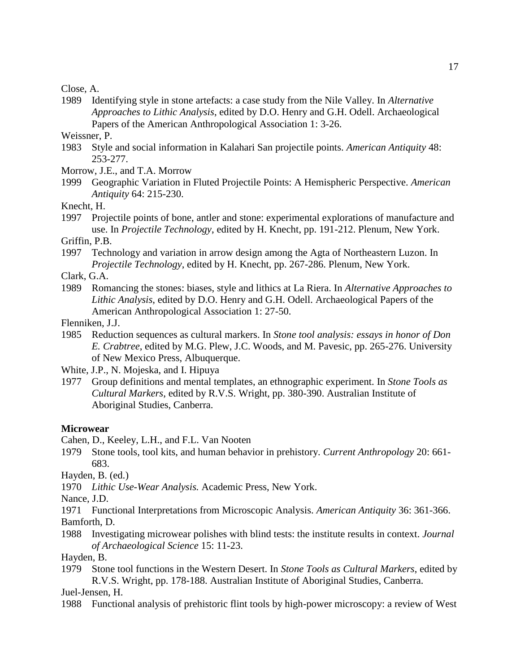Close, A.

1989 Identifying style in stone artefacts: a case study from the Nile Valley. In *Alternative Approaches to Lithic Analysis*, edited by D.O. Henry and G.H. Odell. Archaeological Papers of the American Anthropological Association 1: 3-26.

Weissner, P.

1983 Style and social information in Kalahari San projectile points. *American Antiquity* 48: 253-277.

Morrow, J.E., and T.A. Morrow

1999 Geographic Variation in Fluted Projectile Points: A Hemispheric Perspective. *American Antiquity* 64: 215-230.

Knecht, H.

1997 Projectile points of bone, antler and stone: experimental explorations of manufacture and use. In *Projectile Technology*, edited by H. Knecht, pp. 191-212. Plenum, New York.

Griffin, P.B.

- 1997 Technology and variation in arrow design among the Agta of Northeastern Luzon. In *Projectile Technology*, edited by H. Knecht, pp. 267-286. Plenum, New York.
- Clark, G.A.
- 1989 Romancing the stones: biases, style and lithics at La Riera. In *Alternative Approaches to Lithic Analysis*, edited by D.O. Henry and G.H. Odell. Archaeological Papers of the American Anthropological Association 1: 27-50.

Flenniken, J.J.

1985 Reduction sequences as cultural markers. In *Stone tool analysis: essays in honor of Don E. Crabtree*, edited by M.G. Plew, J.C. Woods, and M. Pavesic, pp. 265-276. University of New Mexico Press, Albuquerque.

White, J.P., N. Mojeska, and I. Hipuya

1977 Group definitions and mental templates, an ethnographic experiment. In *Stone Tools as Cultural Markers*, edited by R.V.S. Wright, pp. 380-390. Australian Institute of Aboriginal Studies, Canberra.

#### **Microwear**

Cahen, D., Keeley, L.H., and F.L. Van Nooten

1979 Stone tools, tool kits, and human behavior in prehistory. *Current Anthropology* 20: 661- 683.

Hayden, B. (ed.)

1970 *Lithic Use-Wear Analysis.* Academic Press, New York.

Nance, J.D.

1971 Functional Interpretations from Microscopic Analysis. *American Antiquity* 36: 361-366. Bamforth, D.

1988 Investigating microwear polishes with blind tests: the institute results in context. *Journal of Archaeological Science* 15: 11-23.

Hayden, B.

1979 Stone tool functions in the Western Desert. In *Stone Tools as Cultural Markers*, edited by R.V.S. Wright, pp. 178-188. Australian Institute of Aboriginal Studies, Canberra.

Juel-Jensen, H.

1988 Functional analysis of prehistoric flint tools by high-power microscopy: a review of West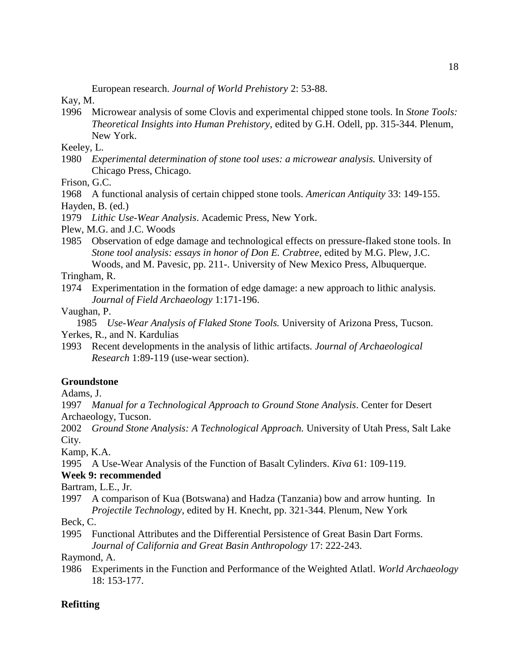European research. *Journal of World Prehistory* 2: 53-88.

Kay, M.

1996 Microwear analysis of some Clovis and experimental chipped stone tools. In *Stone Tools: Theoretical Insights into Human Prehistory*, edited by G.H. Odell, pp. 315-344. Plenum, New York.

Keeley, L.

1980 *Experimental determination of stone tool uses: a microwear analysis.* University of Chicago Press, Chicago.

Frison, G.C.

1968 A functional analysis of certain chipped stone tools. *American Antiquity* 33: 149-155.

Hayden, B. (ed.)

1979 *Lithic Use-Wear Analysis*. Academic Press, New York.

Plew, M.G. and J.C. Woods

1985 Observation of edge damage and technological effects on pressure-flaked stone tools. In *Stone tool analysis: essays in honor of Don E. Crabtree*, edited by M.G. Plew, J.C. Woods, and M. Pavesic, pp. 211-. University of New Mexico Press, Albuquerque.

Tringham, R.

- 1974 Experimentation in the formation of edge damage: a new approach to lithic analysis. *Journal of Field Archaeology* 1:171-196.
- Vaughan, P.

1985 *Use-Wear Analysis of Flaked Stone Tools.* University of Arizona Press, Tucson. Yerkes, R., and N. Kardulias

1993 Recent developments in the analysis of lithic artifacts. *Journal of Archaeological Research* 1:89-119 (use-wear section).

# **Groundstone**

Adams, J.

1997 *Manual for a Technological Approach to Ground Stone Analysis*. Center for Desert Archaeology, Tucson.

2002 *Ground Stone Analysis: A Technological Approach.* University of Utah Press, Salt Lake City.

Kamp, K.A.

1995 A Use-Wear Analysis of the Function of Basalt Cylinders. *Kiva* 61: 109-119.

## **Week 9: recommended**

Bartram, L.E., Jr.

1997 A comparison of Kua (Botswana) and Hadza (Tanzania) bow and arrow hunting. In *Projectile Technology*, edited by H. Knecht, pp. 321-344. Plenum, New York

Beck, C.

1995 Functional Attributes and the Differential Persistence of Great Basin Dart Forms. *Journal of California and Great Basin Anthropology* 17: 222-243.

Raymond, A.

1986 Experiments in the Function and Performance of the Weighted Atlatl. *World Archaeology* 18: 153-177.

# **Refitting**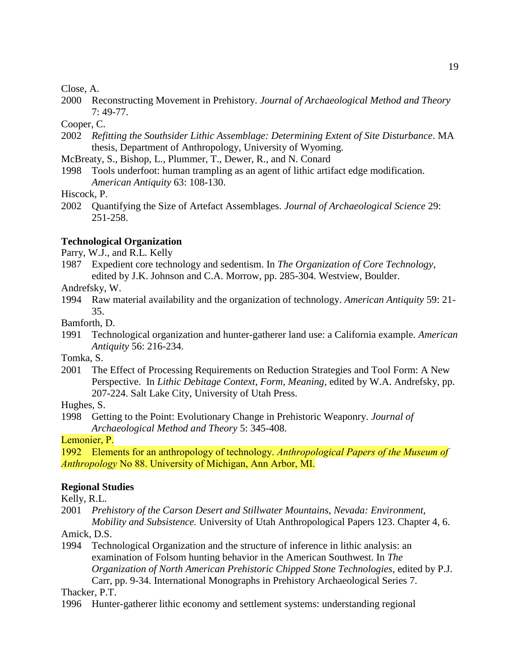#### Close, A.

2000 Reconstructing Movement in Prehistory. *Journal of Archaeological Method and Theory* 7: 49-77.

Cooper, C.

- 2002 *Refitting the Southsider Lithic Assemblage: Determining Extent of Site Disturbance*. MA thesis, Department of Anthropology, University of Wyoming.
- McBreaty, S., Bishop, L., Plummer, T., Dewer, R., and N. Conard
- 1998 Tools underfoot: human trampling as an agent of lithic artifact edge modification. *American Antiquity* 63: 108-130.

Hiscock, P.

2002 Quantifying the Size of Artefact Assemblages. *Journal of Archaeological Science* 29: 251-258.

### **Technological Organization**

Parry, W.J., and R.L. Kelly

1987 Expedient core technology and sedentism. In *The Organization of Core Technology*, edited by J.K. Johnson and C.A. Morrow, pp. 285-304. Westview, Boulder.

Andrefsky, W.

1994 Raw material availability and the organization of technology. *American Antiquity* 59: 21- 35.

Bamforth, D.

1991 Technological organization and hunter-gatherer land use: a California example. *American Antiquity* 56: 216-234.

Tomka, S.

2001 The Effect of Processing Requirements on Reduction Strategies and Tool Form: A New Perspective. In *Lithic Debitage Context, Form, Meaning*, edited by W.A. Andrefsky, pp. 207-224. Salt Lake City, University of Utah Press.

Hughes, S.

1998 Getting to the Point: Evolutionary Change in Prehistoric Weaponry. *Journal of Archaeological Method and Theory* 5: 345-408.

Lemonier, P.

1992 Elements for an anthropology of technology. *Anthropological Papers of the Museum of Anthropology* No 88. University of Michigan, Ann Arbor, MI.

### **Regional Studies**

Kelly, R.L.

2001 *Prehistory of the Carson Desert and Stillwater Mountains, Nevada: Environment, Mobility and Subsistence.* University of Utah Anthropological Papers 123. Chapter 4, 6.

Amick, D.S.

1994 Technological Organization and the structure of inference in lithic analysis: an examination of Folsom hunting behavior in the American Southwest. In *The Organization of North American Prehistoric Chipped Stone Technologies*, edited by P.J. Carr, pp. 9-34. International Monographs in Prehistory Archaeological Series 7.

Thacker, P.T.

1996 Hunter-gatherer lithic economy and settlement systems: understanding regional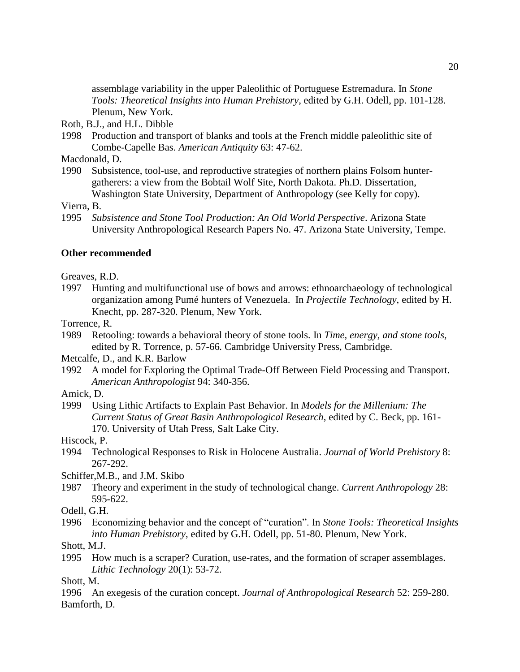assemblage variability in the upper Paleolithic of Portuguese Estremadura. In *Stone Tools: Theoretical Insights into Human Prehistory*, edited by G.H. Odell, pp. 101-128. Plenum, New York.

- Roth, B.J., and H.L. Dibble
- 1998 Production and transport of blanks and tools at the French middle paleolithic site of Combe-Capelle Bas. *American Antiquity* 63: 47-62.

Macdonald, D.

1990 Subsistence, tool-use, and reproductive strategies of northern plains Folsom huntergatherers: a view from the Bobtail Wolf Site, North Dakota. Ph.D. Dissertation, Washington State University, Department of Anthropology (see Kelly for copy).

Vierra, B.

1995 *Subsistence and Stone Tool Production: An Old World Perspective*. Arizona State University Anthropological Research Papers No. 47. Arizona State University, Tempe.

### **Other recommended**

Greaves, R.D.

1997 Hunting and multifunctional use of bows and arrows: ethnoarchaeology of technological organization among Pumé hunters of Venezuela. In *Projectile Technology*, edited by H. Knecht, pp. 287-320. Plenum, New York.

Torrence, R.

1989 Retooling: towards a behavioral theory of stone tools*.* In *Time, energy, and stone tools,*  edited by R. Torrence, p. 57-66*.* Cambridge University Press, Cambridge.

Metcalfe, D., and K.R. Barlow

1992 A model for Exploring the Optimal Trade-Off Between Field Processing and Transport. *American Anthropologist* 94: 340-356.

Amick, D.

1999 Using Lithic Artifacts to Explain Past Behavior. In *Models for the Millenium: The Current Status of Great Basin Anthropological Research*, edited by C. Beck, pp. 161- 170. University of Utah Press, Salt Lake City.

Hiscock, P.

1994 Technological Responses to Risk in Holocene Australia. *Journal of World Prehistory* 8: 267-292.

Schiffer,M.B., and J.M. Skibo

1987 Theory and experiment in the study of technological change. *Current Anthropology* 28: 595-622.

Odell, G.H.

1996 Economizing behavior and the concept of "curation". In *Stone Tools: Theoretical Insights into Human Prehistory*, edited by G.H. Odell, pp. 51-80. Plenum, New York.

Shott, M.J.

1995 How much is a scraper? Curation, use-rates, and the formation of scraper assemblages. *Lithic Technology* 20(1): 53-72.

Shott, M.

1996 An exegesis of the curation concept. *Journal of Anthropological Research* 52: 259-280. Bamforth, D.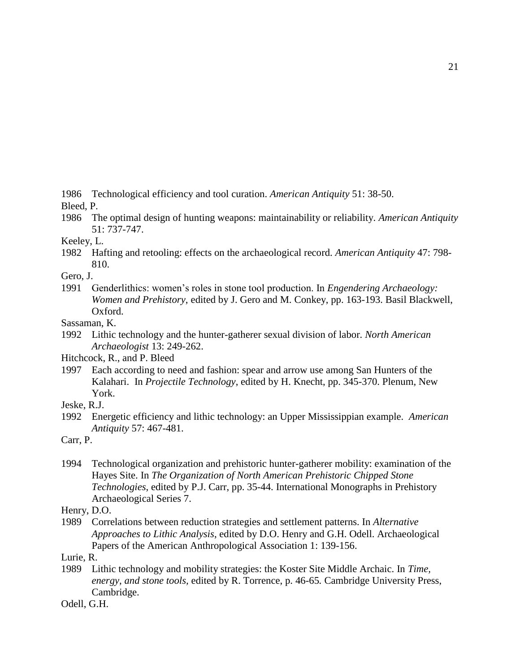1986 Technological efficiency and tool curation. *American Antiquity* 51: 38-50.

Bleed, P.

1986 The optimal design of hunting weapons: maintainability or reliability. *American Antiquity* 51: 737-747.

Keeley, L.

1982 Hafting and retooling: effects on the archaeological record. *American Antiquity* 47: 798- 810.

Gero, J.

1991 Genderlithics: women's roles in stone tool production. In *Engendering Archaeology: Women and Prehistory*, edited by J. Gero and M. Conkey, pp. 163-193. Basil Blackwell, Oxford.

Sassaman, K.

1992 Lithic technology and the hunter-gatherer sexual division of labor. *North American Archaeologist* 13: 249-262.

Hitchcock, R., and P. Bleed

1997 Each according to need and fashion: spear and arrow use among San Hunters of the Kalahari. In *Projectile Technology*, edited by H. Knecht, pp. 345-370. Plenum, New York.

Jeske, R.J.

1992 Energetic efficiency and lithic technology: an Upper Mississippian example. *American Antiquity* 57: 467-481.

Carr, P.

1994 Technological organization and prehistoric hunter-gatherer mobility: examination of the Hayes Site. In *The Organization of North American Prehistoric Chipped Stone Technologies*, edited by P.J. Carr, pp. 35-44. International Monographs in Prehistory Archaeological Series 7.

Henry, D.O.

1989 Correlations between reduction strategies and settlement patterns. In *Alternative Approaches to Lithic Analysis*, edited by D.O. Henry and G.H. Odell. Archaeological Papers of the American Anthropological Association 1: 139-156.

Lurie, R.

1989 Lithic technology and mobility strategies: the Koster Site Middle Archaic. In *Time, energy, and stone tools,* edited by R. Torrence, p. 46-65*.* Cambridge University Press, Cambridge.

Odell, G.H.